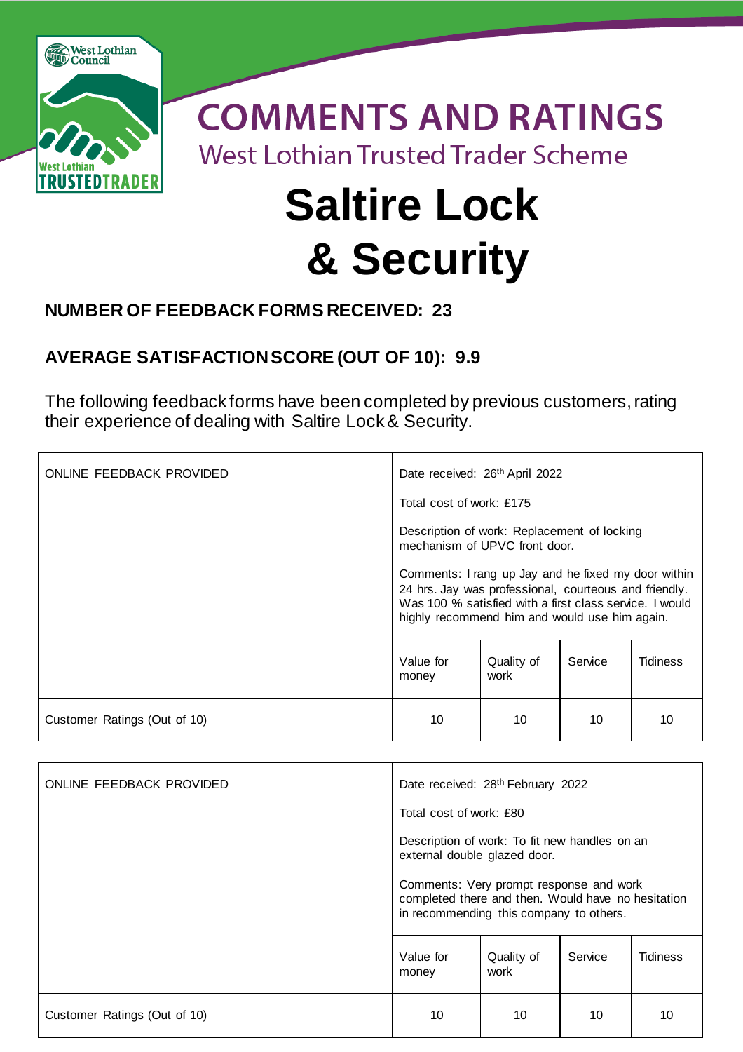

## **NUMBER OF FEEDBACK FORMS RECEIVED: 23**

## **AVERAGE SATISFACTION SCORE (OUT OF 10): 9.9**

The following feedback forms have been completed by previous customers, rating their experience of dealing with Saltire Lock & Security.

| ONLINE FEEDBACK PROVIDED     | Date received: 26 <sup>th</sup> April 2022                                                                                                                                                                                                                                                               |                    |         |                 |  |
|------------------------------|----------------------------------------------------------------------------------------------------------------------------------------------------------------------------------------------------------------------------------------------------------------------------------------------------------|--------------------|---------|-----------------|--|
|                              | Total cost of work: £175                                                                                                                                                                                                                                                                                 |                    |         |                 |  |
|                              | Description of work: Replacement of locking<br>mechanism of UPVC front door.<br>Comments: I rang up Jay and he fixed my door within<br>24 hrs. Jay was professional, courteous and friendly.<br>Was 100 % satisfied with a first class service. I would<br>highly recommend him and would use him again. |                    |         |                 |  |
|                              |                                                                                                                                                                                                                                                                                                          |                    |         |                 |  |
|                              | Value for<br>money                                                                                                                                                                                                                                                                                       | Quality of<br>work | Service | <b>Tidiness</b> |  |
| Customer Ratings (Out of 10) | 10                                                                                                                                                                                                                                                                                                       | 10                 | 10      | 10              |  |

| ONLINE FEEDBACK PROVIDED     | Date received: 28 <sup>th</sup> February 2022                                                                                            |                    |         |                 |  |
|------------------------------|------------------------------------------------------------------------------------------------------------------------------------------|--------------------|---------|-----------------|--|
|                              | Total cost of work: £80                                                                                                                  |                    |         |                 |  |
|                              | Description of work: To fit new handles on an<br>external double glazed door.                                                            |                    |         |                 |  |
|                              | Comments: Very prompt response and work<br>completed there and then. Would have no hesitation<br>in recommending this company to others. |                    |         |                 |  |
|                              | Value for<br>money                                                                                                                       | Quality of<br>work | Service | <b>Tidiness</b> |  |
| Customer Ratings (Out of 10) | 10                                                                                                                                       | 10                 | 10      | 10              |  |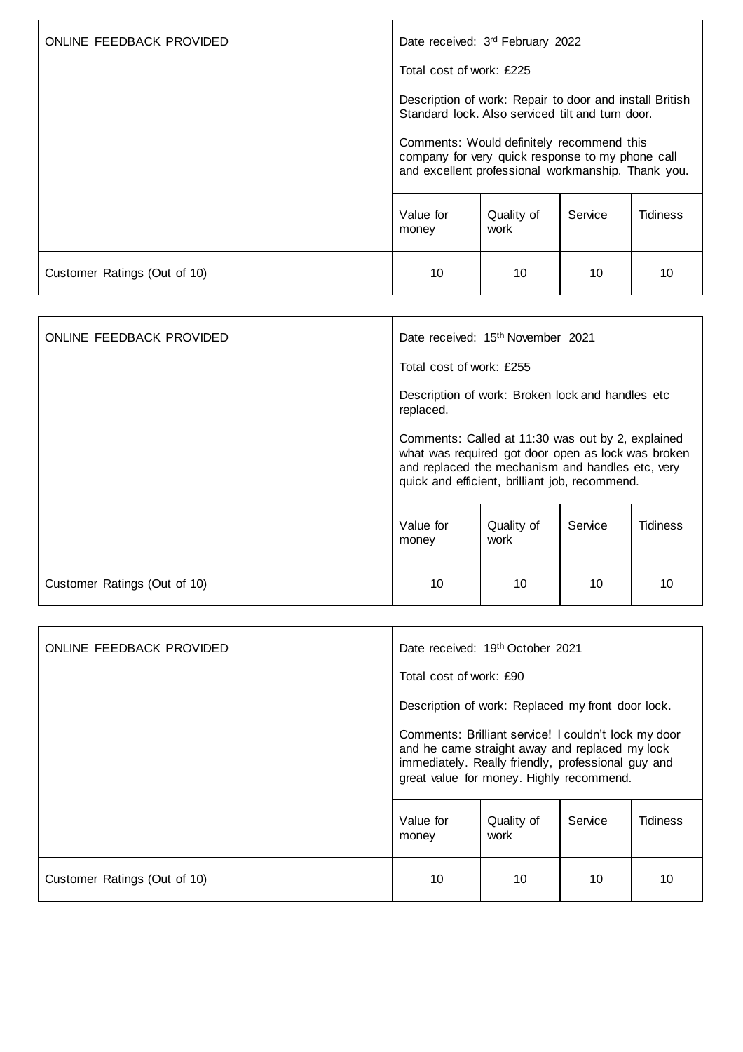| ONLINE FEEDBACK PROVIDED     | Date received: 3rd February 2022                                                                                                                                                                                                                                   |                    |         |                 |
|------------------------------|--------------------------------------------------------------------------------------------------------------------------------------------------------------------------------------------------------------------------------------------------------------------|--------------------|---------|-----------------|
|                              | Total cost of work: £225                                                                                                                                                                                                                                           |                    |         |                 |
|                              | Description of work: Repair to door and install British<br>Standard lock. Also serviced tilt and turn door.<br>Comments: Would definitely recommend this<br>company for very quick response to my phone call<br>and excellent professional workmanship. Thank you. |                    |         |                 |
|                              |                                                                                                                                                                                                                                                                    |                    |         |                 |
|                              | Value for<br>money                                                                                                                                                                                                                                                 | Quality of<br>work | Service | <b>Tidiness</b> |
| Customer Ratings (Out of 10) | 10                                                                                                                                                                                                                                                                 | 10                 | 10      | 10              |

| ONLINE FEEDBACK PROVIDED     | Date received: 15 <sup>th</sup> November 2021                                                                                                                                                                 |                    |         |                 |
|------------------------------|---------------------------------------------------------------------------------------------------------------------------------------------------------------------------------------------------------------|--------------------|---------|-----------------|
|                              | Total cost of work: £255                                                                                                                                                                                      |                    |         |                 |
|                              | Description of work: Broken lock and handles etc<br>replaced.                                                                                                                                                 |                    |         |                 |
|                              | Comments: Called at 11:30 was out by 2, explained<br>what was required got door open as lock was broken<br>and replaced the mechanism and handles etc, very<br>quick and efficient, brilliant job, recommend. |                    |         |                 |
|                              | Value for<br>money                                                                                                                                                                                            | Quality of<br>work | Service | <b>Tidiness</b> |
| Customer Ratings (Out of 10) | 10                                                                                                                                                                                                            | 10                 | 10      | 10              |

| ONLINE FEEDBACK PROVIDED     | Date received: 19th October 2021                                                                                                                                                                         |                                                   |         |                 |
|------------------------------|----------------------------------------------------------------------------------------------------------------------------------------------------------------------------------------------------------|---------------------------------------------------|---------|-----------------|
|                              | Total cost of work: £90                                                                                                                                                                                  |                                                   |         |                 |
|                              |                                                                                                                                                                                                          | Description of work: Replaced my front door lock. |         |                 |
|                              | Comments: Brilliant service! I couldn't lock my door<br>and he came straight away and replaced my lock<br>immediately. Really friendly, professional guy and<br>great value for money. Highly recommend. |                                                   |         |                 |
|                              | Value for<br>money                                                                                                                                                                                       | Quality of<br>work                                | Service | <b>Tidiness</b> |
| Customer Ratings (Out of 10) | 10                                                                                                                                                                                                       | 10                                                | 10      | 10              |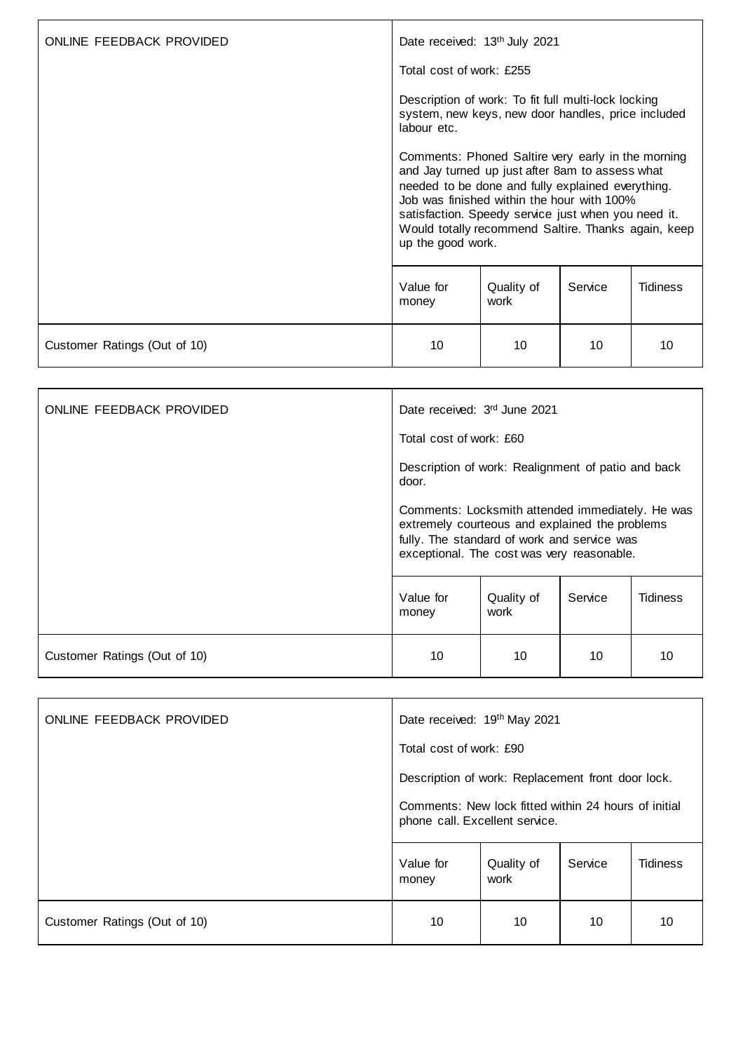| ONLINE FEEDBACK PROVIDED     | Date received: 13 <sup>th</sup> July 2021<br>Total cost of work: £255                                                                                                                                                                                                                                                                       |                    |         |                 |
|------------------------------|---------------------------------------------------------------------------------------------------------------------------------------------------------------------------------------------------------------------------------------------------------------------------------------------------------------------------------------------|--------------------|---------|-----------------|
|                              | Description of work: To fit full multi-lock locking<br>system, new keys, new door handles, price included<br>labour etc.                                                                                                                                                                                                                    |                    |         |                 |
|                              | Comments: Phoned Saltire very early in the morning<br>and Jay turned up just after 8am to assess what<br>needed to be done and fully explained everything.<br>Job was finished within the hour with 100%<br>satisfaction. Speedy service just when you need it.<br>Would totally recommend Saltire. Thanks again, keep<br>up the good work. |                    |         |                 |
|                              | Value for<br>money                                                                                                                                                                                                                                                                                                                          | Quality of<br>work | Service | <b>Tidiness</b> |
| Customer Ratings (Out of 10) | 10                                                                                                                                                                                                                                                                                                                                          | 10                 | 10      | 10              |

| ONLINE FEEDBACK PROVIDED     | Date received: 3rd June 2021                                                                                                                                                                    |                    |         |                 |  |
|------------------------------|-------------------------------------------------------------------------------------------------------------------------------------------------------------------------------------------------|--------------------|---------|-----------------|--|
|                              | Total cost of work: £60                                                                                                                                                                         |                    |         |                 |  |
|                              | Description of work: Realignment of patio and back<br>door.                                                                                                                                     |                    |         |                 |  |
|                              | Comments: Locksmith attended immediately. He was<br>extremely courteous and explained the problems<br>fully. The standard of work and service was<br>exceptional. The cost was very reasonable. |                    |         |                 |  |
|                              | Value for<br>money                                                                                                                                                                              | Quality of<br>work | Service | <b>Tidiness</b> |  |
| Customer Ratings (Out of 10) | 10                                                                                                                                                                                              | 10                 | 10      | 10              |  |

| ONLINE FEEDBACK PROVIDED     | Date received: 19th May 2021                                                                                                                |                    |         |                 |
|------------------------------|---------------------------------------------------------------------------------------------------------------------------------------------|--------------------|---------|-----------------|
|                              | Total cost of work: £90                                                                                                                     |                    |         |                 |
|                              | Description of work: Replacement front door lock.<br>Comments: New lock fitted within 24 hours of initial<br>phone call. Excellent service. |                    |         |                 |
|                              |                                                                                                                                             |                    |         |                 |
|                              | Value for<br>money                                                                                                                          | Quality of<br>work | Service | <b>Tidiness</b> |
| Customer Ratings (Out of 10) | 10                                                                                                                                          | 10                 | 10      | 10              |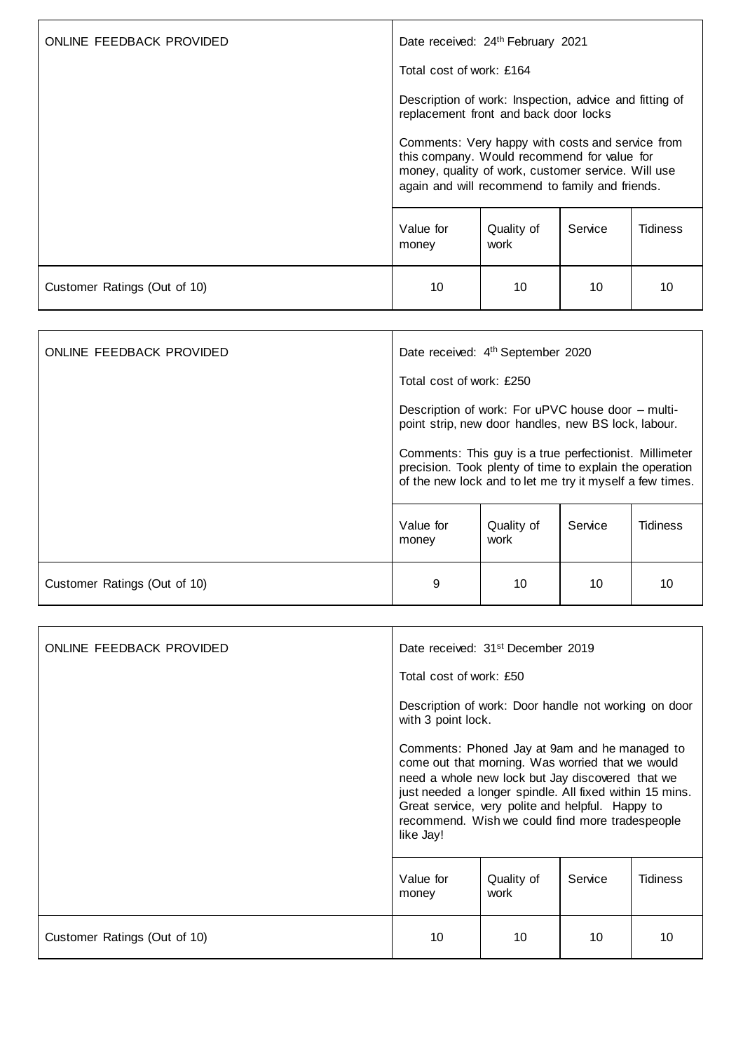| ONLINE FEEDBACK PROVIDED     | Date received: 24th February 2021                                                                                                                                                                        |                    |         |          |
|------------------------------|----------------------------------------------------------------------------------------------------------------------------------------------------------------------------------------------------------|--------------------|---------|----------|
|                              | Total cost of work: £164                                                                                                                                                                                 |                    |         |          |
|                              | Description of work: Inspection, advice and fitting of<br>replacement front and back door locks                                                                                                          |                    |         |          |
|                              | Comments: Very happy with costs and service from<br>this company. Would recommend for value for<br>money, quality of work, customer service. Will use<br>again and will recommend to family and friends. |                    |         |          |
|                              | Value for<br>money                                                                                                                                                                                       | Quality of<br>work | Service | Tidiness |
| Customer Ratings (Out of 10) | 10                                                                                                                                                                                                       | 10                 | 10      | 10       |

| ONLINE FEEDBACK PROVIDED     | Date received: 4 <sup>th</sup> September 2020                                                                                                                                 |                    |         |                 |
|------------------------------|-------------------------------------------------------------------------------------------------------------------------------------------------------------------------------|--------------------|---------|-----------------|
|                              | Total cost of work: £250                                                                                                                                                      |                    |         |                 |
|                              | Description of work: For uPVC house door - multi-<br>point strip, new door handles, new BS lock, labour.                                                                      |                    |         |                 |
|                              | Comments: This guy is a true perfectionist. Millimeter<br>precision. Took plenty of time to explain the operation<br>of the new lock and to let me try it myself a few times. |                    |         |                 |
|                              | Value for<br>money                                                                                                                                                            | Quality of<br>work | Service | <b>Tidiness</b> |
| Customer Ratings (Out of 10) | 9                                                                                                                                                                             | 10                 | 10      | 10              |

| ONLINE FEEDBACK PROVIDED     | Date received: 31 <sup>st</sup> December 2019                                                                                                                                                                                                                                                                                                                                                                      |                    |                 |                 |  |
|------------------------------|--------------------------------------------------------------------------------------------------------------------------------------------------------------------------------------------------------------------------------------------------------------------------------------------------------------------------------------------------------------------------------------------------------------------|--------------------|-----------------|-----------------|--|
|                              | Total cost of work: £50                                                                                                                                                                                                                                                                                                                                                                                            |                    |                 |                 |  |
|                              | Description of work: Door handle not working on door<br>with 3 point lock.<br>Comments: Phoned Jay at 9am and he managed to<br>come out that morning. Was worried that we would<br>need a whole new lock but Jay discovered that we<br>just needed a longer spindle. All fixed within 15 mins.<br>Great service, very polite and helpful. Happy to<br>recommend. Wish we could find more tradespeople<br>like Jay! |                    |                 |                 |  |
|                              |                                                                                                                                                                                                                                                                                                                                                                                                                    |                    |                 |                 |  |
|                              | Value for<br>money                                                                                                                                                                                                                                                                                                                                                                                                 | Quality of<br>work | Service         | <b>Tidiness</b> |  |
| Customer Ratings (Out of 10) | 10                                                                                                                                                                                                                                                                                                                                                                                                                 | 10                 | 10 <sup>1</sup> | 10              |  |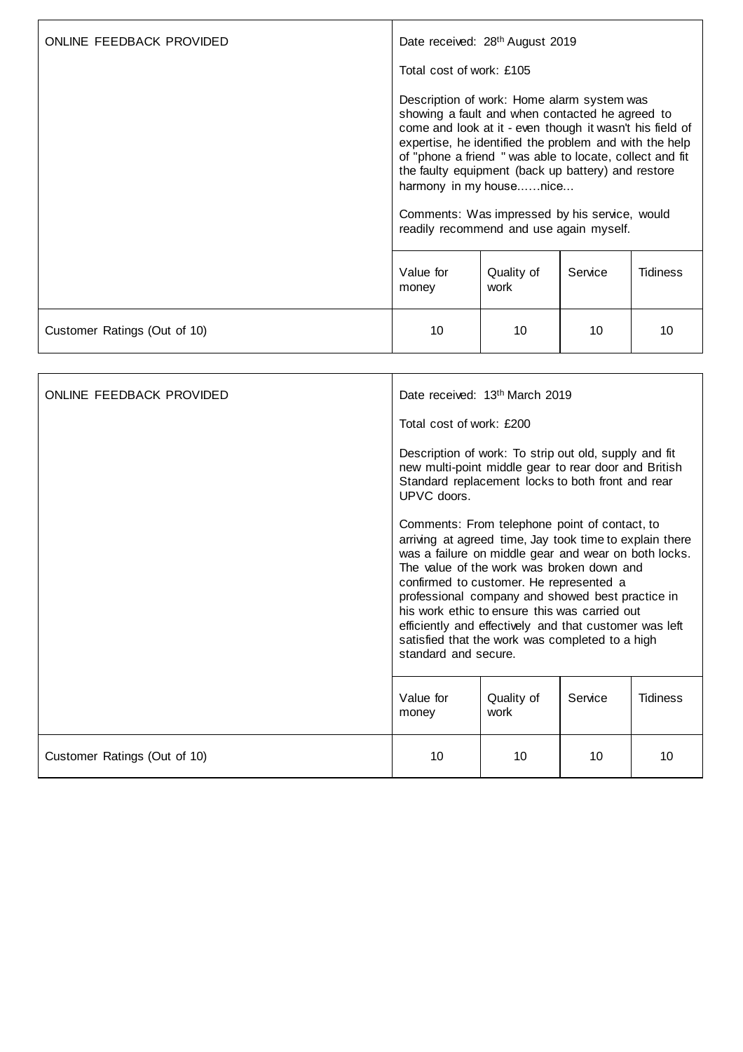| ONLINE FEEDBACK PROVIDED     | Date received: 28 <sup>th</sup> August 2019                                                                                                                                                                                                                                                                                                                                                                                                                  |                    |         |                 |
|------------------------------|--------------------------------------------------------------------------------------------------------------------------------------------------------------------------------------------------------------------------------------------------------------------------------------------------------------------------------------------------------------------------------------------------------------------------------------------------------------|--------------------|---------|-----------------|
|                              | Total cost of work: £105                                                                                                                                                                                                                                                                                                                                                                                                                                     |                    |         |                 |
|                              | Description of work: Home alarm system was<br>showing a fault and when contacted he agreed to<br>come and look at it - even though it wasn't his field of<br>expertise, he identified the problem and with the help<br>of "phone a friend " was able to locate, collect and fit<br>the faulty equipment (back up battery) and restore<br>harmony in my housenice<br>Comments: Was impressed by his service, would<br>readily recommend and use again myself. |                    |         |                 |
|                              | Value for<br>money                                                                                                                                                                                                                                                                                                                                                                                                                                           | Quality of<br>work | Service | <b>Tidiness</b> |
| Customer Ratings (Out of 10) | 10                                                                                                                                                                                                                                                                                                                                                                                                                                                           | 10                 | 10      | 10              |

| ONLINE FEEDBACK PROVIDED     | Date received: 13th March 2019                                                                                                                                                                                                                                                                                                                                                                                                                                                                     |    |    |    |  |
|------------------------------|----------------------------------------------------------------------------------------------------------------------------------------------------------------------------------------------------------------------------------------------------------------------------------------------------------------------------------------------------------------------------------------------------------------------------------------------------------------------------------------------------|----|----|----|--|
|                              | Total cost of work: £200                                                                                                                                                                                                                                                                                                                                                                                                                                                                           |    |    |    |  |
|                              | Description of work: To strip out old, supply and fit<br>new multi-point middle gear to rear door and British<br>Standard replacement locks to both front and rear<br>UPVC doors.                                                                                                                                                                                                                                                                                                                  |    |    |    |  |
|                              | Comments: From telephone point of contact, to<br>arriving at agreed time, Jay took time to explain there<br>was a failure on middle gear and wear on both locks.<br>The value of the work was broken down and<br>confirmed to customer. He represented a<br>professional company and showed best practice in<br>his work ethic to ensure this was carried out<br>efficiently and effectively and that customer was left<br>satisfied that the work was completed to a high<br>standard and secure. |    |    |    |  |
|                              | Value for<br><b>Tidiness</b><br>Quality of<br>Service<br>work<br>money                                                                                                                                                                                                                                                                                                                                                                                                                             |    |    |    |  |
| Customer Ratings (Out of 10) | 10                                                                                                                                                                                                                                                                                                                                                                                                                                                                                                 | 10 | 10 | 10 |  |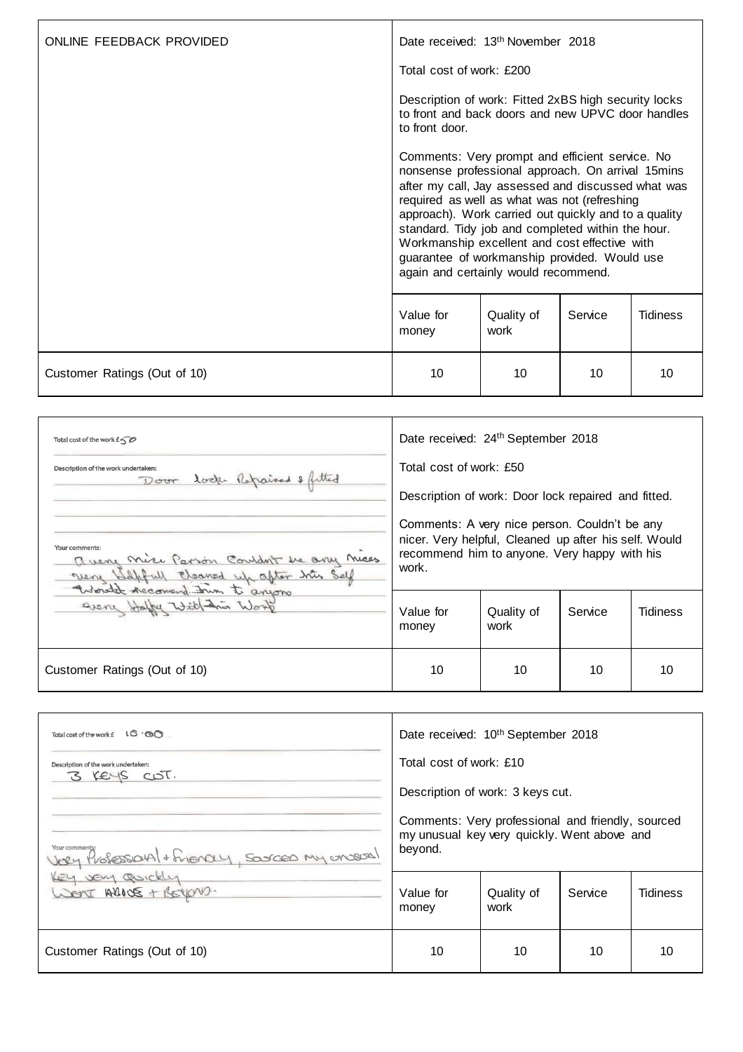| ONLINE FEEDBACK PROVIDED     | Date received: 13 <sup>th</sup> November 2018                                                                                                                                                                                                                                                                                                                                                                                                                                                                                                                                                                                                                             |    |    |    |  |
|------------------------------|---------------------------------------------------------------------------------------------------------------------------------------------------------------------------------------------------------------------------------------------------------------------------------------------------------------------------------------------------------------------------------------------------------------------------------------------------------------------------------------------------------------------------------------------------------------------------------------------------------------------------------------------------------------------------|----|----|----|--|
|                              | Total cost of work: £200                                                                                                                                                                                                                                                                                                                                                                                                                                                                                                                                                                                                                                                  |    |    |    |  |
|                              | Description of work: Fitted 2xBS high security locks<br>to front and back doors and new UPVC door handles<br>to front door.<br>Comments: Very prompt and efficient service. No<br>nonsense professional approach. On arrival 15mins<br>after my call, Jay assessed and discussed what was<br>required as well as what was not (refreshing<br>approach). Work carried out quickly and to a quality<br>standard. Tidy job and completed within the hour.<br>Workmanship excellent and cost effective with<br>guarantee of workmanship provided. Would use<br>again and certainly would recommend.<br>Value for<br>Quality of<br>Service<br><b>Tidiness</b><br>work<br>money |    |    |    |  |
|                              |                                                                                                                                                                                                                                                                                                                                                                                                                                                                                                                                                                                                                                                                           |    |    |    |  |
|                              |                                                                                                                                                                                                                                                                                                                                                                                                                                                                                                                                                                                                                                                                           |    |    |    |  |
| Customer Ratings (Out of 10) | 10                                                                                                                                                                                                                                                                                                                                                                                                                                                                                                                                                                                                                                                                        | 10 | 10 | 10 |  |

| Total cost of the work $f \in \mathcal{D}$                                                           | Date received: 24 <sup>th</sup> September 2018                                                                                                                  |                    |         |          |
|------------------------------------------------------------------------------------------------------|-----------------------------------------------------------------------------------------------------------------------------------------------------------------|--------------------|---------|----------|
| Description of the work undertaken:<br>Door lock Repaired & fitted                                   | Total cost of work: £50<br>Description of work: Door lock repaired and fitted.                                                                                  |                    |         |          |
| Your comments:<br>a very nice Parson Couldn't be any nices<br>Neny Hapfull Eleaned up after his Self | Comments: A very nice person. Couldn't be any<br>nicer. Very helpful, Cleaned up after his self. Would<br>recommend him to anyone. Very happy with his<br>work. |                    |         |          |
| greve Halfy with inder                                                                               | Value for<br>money                                                                                                                                              | Quality of<br>work | Service | Tidiness |
| Customer Ratings (Out of 10)                                                                         | 10                                                                                                                                                              | 10                 | 10      | 10       |

| Total cost of the work £ 16' ®                     | Date received: 10 <sup>th</sup> September 2018                                                              |                    |         |                 |  |
|----------------------------------------------------|-------------------------------------------------------------------------------------------------------------|--------------------|---------|-----------------|--|
| Description of the work undertaken:<br>3 KEYS COT. | Total cost of work: £10                                                                                     |                    |         |                 |  |
|                                                    | Description of work: 3 keys cut.                                                                            |                    |         |                 |  |
| Very Professional + Friencey, Sources My encount   | Comments: Very professional and friendly, sourced<br>my unusual key very quickly. Went above and<br>beyond. |                    |         |                 |  |
| Key very gorckly<br>COOL ARIOS + BEYON-            | Value for<br>money                                                                                          | Quality of<br>work | Service | <b>Tidiness</b> |  |
| Customer Ratings (Out of 10)                       | 10                                                                                                          | 10                 | 10      | 10              |  |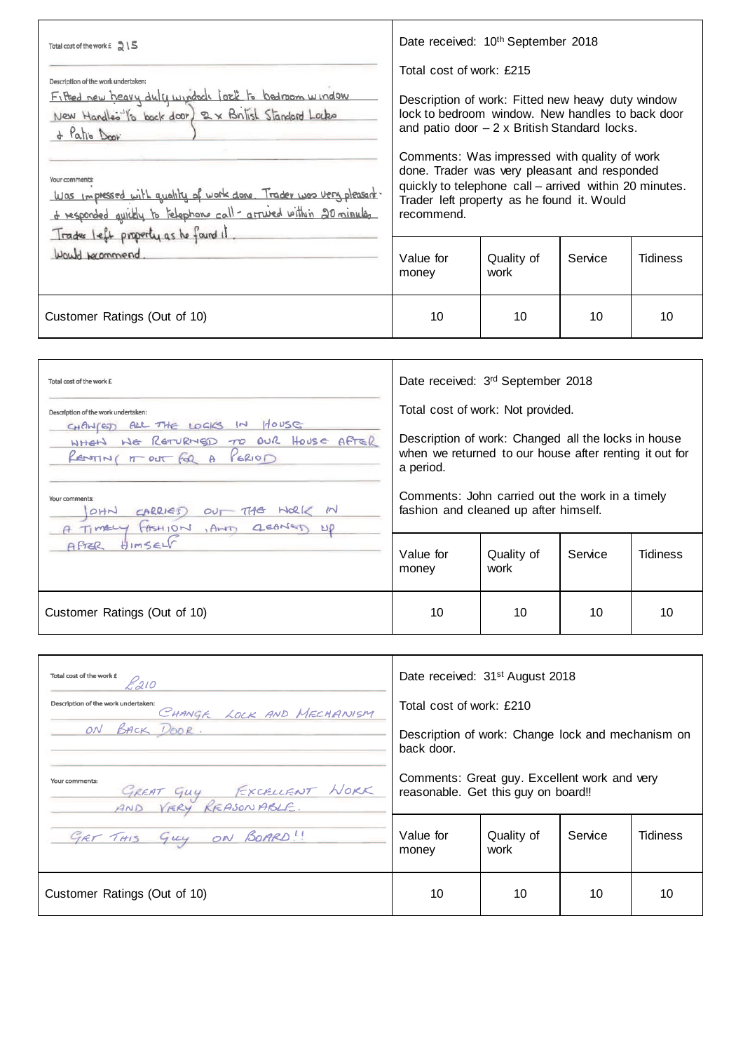| Total cost of the work $f \gtrsim$<br>Description of the work undertaken:<br>Fifted new heavy duly windeds lock to bedroom window<br>New Handles to back door) 2 x British Standard Locks<br>& Patio Door | Date received: 10 <sup>th</sup> September 2018<br>Total cost of work: £215<br>Description of work: Fitted new heavy duty window<br>lock to bedroom window. New handles to back door<br>and patio door $-2 \times$ British Standard locks.<br>Comments: Was impressed with quality of work<br>done. Trader was very pleasant and responded<br>quickly to telephone call – arrived within 20 minutes.<br>Trader left property as he found it. Would<br>recommend. |                    |         |                 |
|-----------------------------------------------------------------------------------------------------------------------------------------------------------------------------------------------------------|-----------------------------------------------------------------------------------------------------------------------------------------------------------------------------------------------------------------------------------------------------------------------------------------------------------------------------------------------------------------------------------------------------------------------------------------------------------------|--------------------|---------|-----------------|
| Your comments:<br>Was impressed with quality of work done. Trader was very pleasant.<br>of responded quickly to telephone call - arrived within 20 minules<br>Trades left property as he found it.        |                                                                                                                                                                                                                                                                                                                                                                                                                                                                 |                    |         |                 |
| Would becommend                                                                                                                                                                                           | Value for<br>money                                                                                                                                                                                                                                                                                                                                                                                                                                              | Quality of<br>work | Service | <b>Tidiness</b> |
| Customer Ratings (Out of 10)                                                                                                                                                                              | 10                                                                                                                                                                                                                                                                                                                                                                                                                                                              | 10                 | 10      | 10              |

| Total cost of the work £<br>Description of the work undertaken:<br>CHANGED ALL THE LOCKS IN HOUSE<br>WHEN WE RETURNED TO OUR HOUSE AFTER<br>RENTINI IT OUT FOR A<br>PERIOD<br>Your comments: | Date received: 3rd September 2018<br>Total cost of work: Not provided.<br>Description of work: Changed all the locks in house<br>when we returned to our house after renting it out for<br>a period.<br>Comments: John carried out the work in a timely |    |    |    |  |
|----------------------------------------------------------------------------------------------------------------------------------------------------------------------------------------------|---------------------------------------------------------------------------------------------------------------------------------------------------------------------------------------------------------------------------------------------------------|----|----|----|--|
| CARRIES<br>OHN<br>$NolZ$ $N$<br>$\sim$<br>GEANER<br>Timely FASHION<br>AHT<br>HIMSELF<br>AFTER                                                                                                | fashion and cleaned up after himself.<br>Value for<br><b>Tidiness</b><br>Quality of<br>Service<br>work<br>money                                                                                                                                         |    |    |    |  |
| Customer Ratings (Out of 10)                                                                                                                                                                 | 10                                                                                                                                                                                                                                                      | 10 | 10 | 10 |  |

| Total cost of the work £<br>20                                   | Date received: 31 <sup>st</sup> August 2018                                         |    |    |    |
|------------------------------------------------------------------|-------------------------------------------------------------------------------------|----|----|----|
| Description of the work undertaken:<br>CHANGE LOCK AND MECHANISM | Total cost of work: £210                                                            |    |    |    |
| ON BACK DOOR.                                                    | Description of work: Change lock and mechanism on<br>back door.                     |    |    |    |
| Your comments:<br>GREAT GUY FXCRUENT WORK                        | Comments: Great guy. Excellent work and very<br>reasonable. Get this guy on board!! |    |    |    |
| GET THIS GUY ON BOARD!                                           | Value for<br>Service<br>Quality of<br>Tidiness<br>work<br>money                     |    |    |    |
| Customer Ratings (Out of 10)                                     | 10                                                                                  | 10 | 10 | 10 |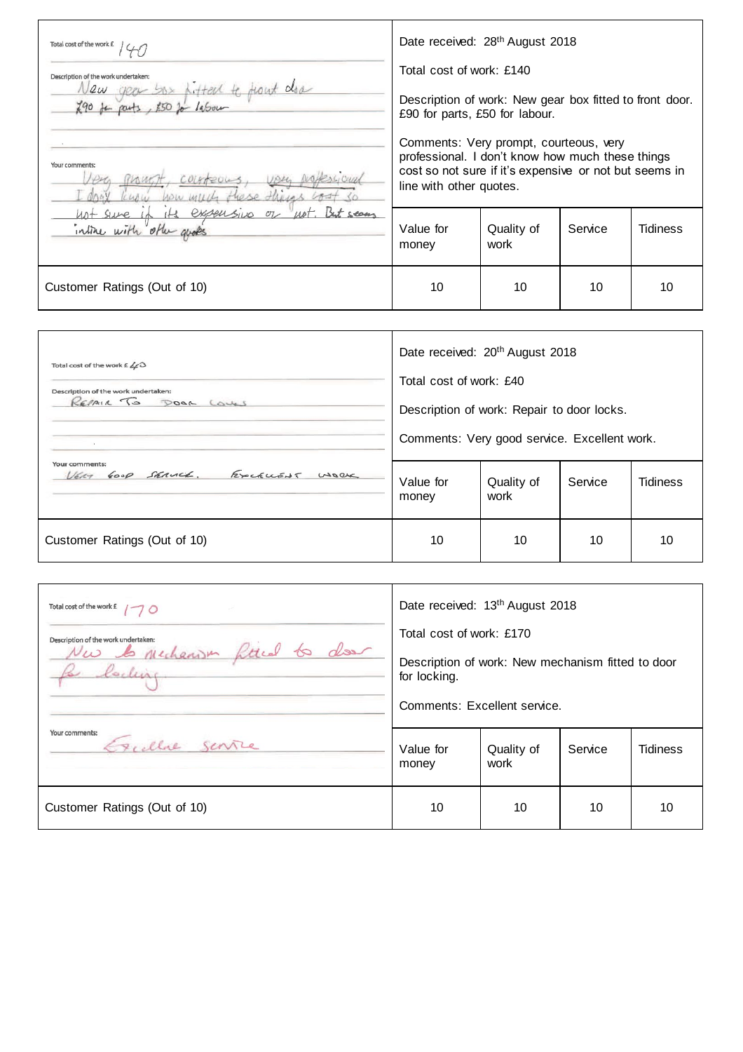| Total cost of the work £<br>Description of the work undertaken:<br>year box pitted to trout door<br>Vew<br>$790$ for parts, $250$ for labour | Date received: 28 <sup>th</sup> August 2018<br>Total cost of work: £140<br>Description of work: New gear box fitted to front door.<br>£90 for parts, £50 for labour.            |                    |         |                 |
|----------------------------------------------------------------------------------------------------------------------------------------------|---------------------------------------------------------------------------------------------------------------------------------------------------------------------------------|--------------------|---------|-----------------|
| Your comments:<br>COLATEOLS                                                                                                                  | Comments: Very prompt, courteous, very<br>professional. I don't know how much these things<br>cost so not sure if it's expensive or not but seems in<br>line with other quotes. |                    |         |                 |
| its expensive or not. But seems<br>not sure in<br>intime with other goods                                                                    | Value for<br>money                                                                                                                                                              | Quality of<br>work | Service | <b>Tidiness</b> |
| Customer Ratings (Out of 10)                                                                                                                 | 10                                                                                                                                                                              | 10                 | 10      | 10              |

| Total cost of the work $E \angle \angle C$<br>Description of the work undertaken:<br>REPAIR TO DOOR LOVES<br>$\sim$ | Date received: 20 <sup>th</sup> August 2018<br>Total cost of work: £40<br>Description of work: Repair to door locks.<br>Comments: Very good service. Excellent work. |                    |         |                 |
|---------------------------------------------------------------------------------------------------------------------|----------------------------------------------------------------------------------------------------------------------------------------------------------------------|--------------------|---------|-----------------|
| Your comments:<br>VERT GOOD SERVICE. EXCELLENT WORK                                                                 | Value for<br>money                                                                                                                                                   | Quality of<br>work | Service | <b>Tidiness</b> |
| Customer Ratings (Out of 10)                                                                                        | 10                                                                                                                                                                   | 10                 | 10      | 10              |

| Total cost of the work $f \rightarrow \circ$ | Date received: 13 <sup>th</sup> August 2018                                                       |                    |         |                 |
|----------------------------------------------|---------------------------------------------------------------------------------------------------|--------------------|---------|-----------------|
| Description of the work undertaken:          | Total cost of work: £170                                                                          |                    |         |                 |
| Nw les mechanism fitted to do<br>Re locking  | Description of work: New mechanism fitted to door<br>for locking.<br>Comments: Excellent service. |                    |         |                 |
|                                              |                                                                                                   |                    |         |                 |
| Your comments:<br>Excelle sente              | Value for<br>money                                                                                | Quality of<br>work | Service | <b>Tidiness</b> |
| Customer Ratings (Out of 10)                 | 10                                                                                                | 10                 | 10      | 10              |